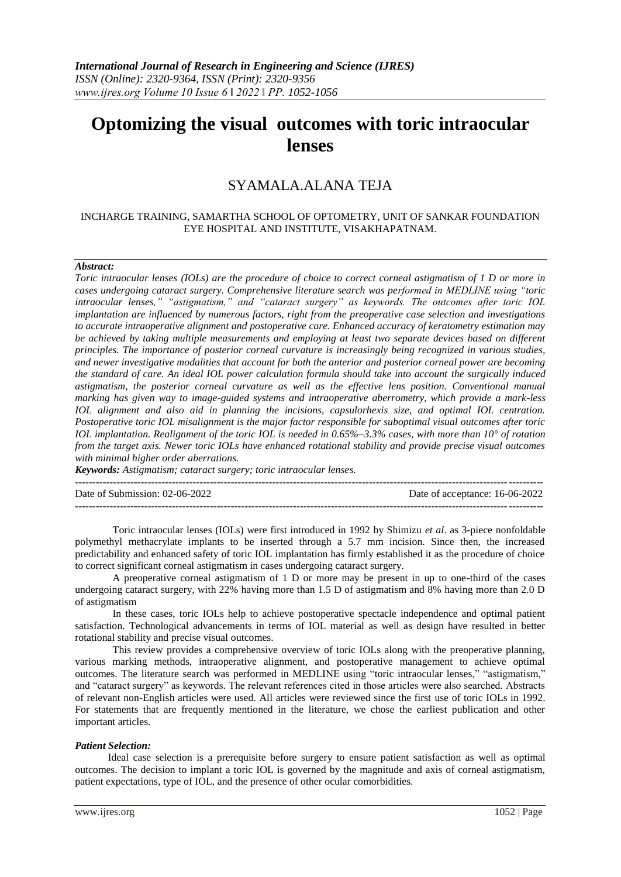# **Optomizing the visual outcomes with toric intraocular lenses**

# SYAMALA.ALANA TEJA

#### INCHARGE TRAINING, SAMARTHA SCHOOL OF OPTOMETRY, UNIT OF SANKAR FOUNDATION EYE HOSPITAL AND INSTITUTE, VISAKHAPATNAM.

#### *Abstract:*

*Toric intraocular lenses (IOLs) are the procedure of choice to correct corneal astigmatism of 1 D or more in cases undergoing cataract surgery. Comprehensive literature search was performed in MEDLINE using "toric intraocular lenses," "astigmatism," and "cataract surgery" as keywords. The outcomes after toric IOL implantation are influenced by numerous factors, right from the preoperative case selection and investigations to accurate intraoperative alignment and postoperative care. Enhanced accuracy of keratometry estimation may be achieved by taking multiple measurements and employing at least two separate devices based on different principles. The importance of posterior corneal curvature is increasingly being recognized in various studies, and newer investigative modalities that account for both the anterior and posterior corneal power are becoming the standard of care. An ideal IOL power calculation formula should take into account the surgically induced astigmatism, the posterior corneal curvature as well as the effective lens position. Conventional manual marking has given way to image-guided systems and intraoperative aberrometry, which provide a mark-less IOL alignment and also aid in planning the incisions, capsulorhexis size, and optimal IOL centration. Postoperative toric IOL misalignment is the major factor responsible for suboptimal visual outcomes after toric IOL implantation. Realignment of the toric IOL is needed in 0.65%–3.3% cases, with more than 10° of rotation from the target axis. Newer toric IOLs have enhanced rotational stability and provide precise visual outcomes with minimal higher order aberrations.*

*Keywords: Astigmatism; cataract surgery; toric intraocular lenses.*

--------------------------------------------------------------------------------------------------------------------------------------- Date of Submission: 02-06-2022 Date of acceptance: 16-06-2022 ---------------------------------------------------------------------------------------------------------------------------------------

Toric intraocular lenses (IOLs) were first introduced in 1992 by Shimizu *et al*. as 3-piece nonfoldable polymethyl methacrylate implants to be inserted through a 5.7 mm incision. Since then, the increased predictability and enhanced safety of toric IOL implantation has firmly established it as the procedure of choice to correct significant corneal astigmatism in cases undergoing cataract surgery.

A preoperative corneal astigmatism of 1 D or more may be present in up to one-third of the cases undergoing cataract surgery, with 22% having more than 1.5 D of astigmatism and 8% having more than 2.0 D of astigmatism

In these cases, toric IOLs help to achieve postoperative spectacle independence and optimal patient satisfaction. Technological advancements in terms of IOL material as well as design have resulted in better rotational stability and precise visual outcomes.

This review provides a comprehensive overview of toric IOLs along with the preoperative planning, various marking methods, intraoperative alignment, and postoperative management to achieve optimal outcomes. The literature search was performed in MEDLINE using "toric intraocular lenses," "astigmatism," and "cataract surgery" as keywords. The relevant references cited in those articles were also searched. Abstracts of relevant non-English articles were used. All articles were reviewed since the first use of toric IOLs in 1992. For statements that are frequently mentioned in the literature, we chose the earliest publication and other important articles.

#### *Patient Selection:*

Ideal case selection is a prerequisite before surgery to ensure patient satisfaction as well as optimal outcomes. The decision to implant a toric IOL is governed by the magnitude and axis of corneal astigmatism, patient expectations, type of IOL, and the presence of other ocular comorbidities.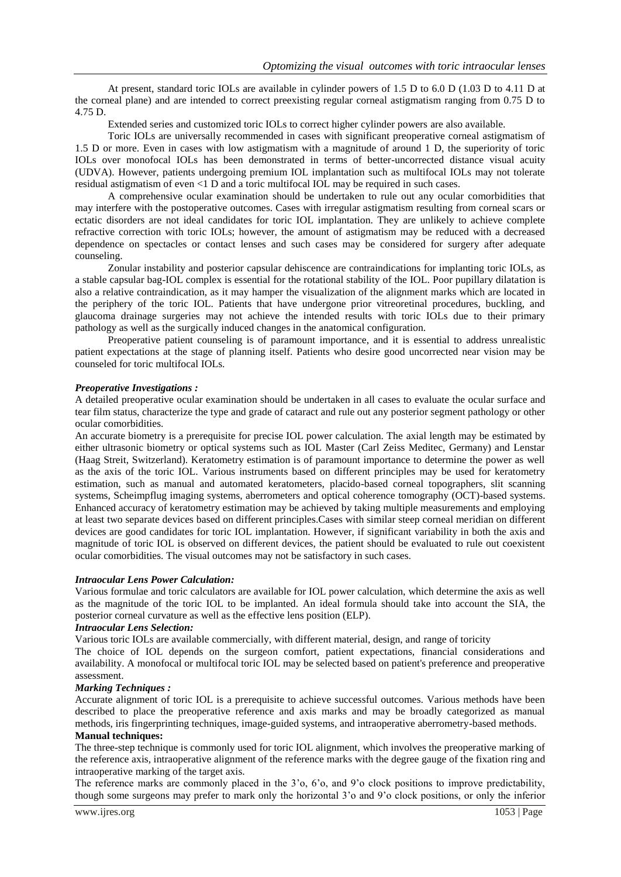At present, standard toric IOLs are available in cylinder powers of 1.5 D to 6.0 D (1.03 D to 4.11 D at the corneal plane) and are intended to correct preexisting regular corneal astigmatism ranging from 0.75 D to 4.75 D.

Extended series and customized toric IOLs to correct higher cylinder powers are also available.

Toric IOLs are universally recommended in cases with significant preoperative corneal astigmatism of 1.5 D or more. Even in cases with low astigmatism with a magnitude of around 1 D, the superiority of toric IOLs over monofocal IOLs has been demonstrated in terms of better-uncorrected distance visual acuity (UDVA). However, patients undergoing premium IOL implantation such as multifocal IOLs may not tolerate residual astigmatism of even <1 D and a toric multifocal IOL may be required in such cases.

A comprehensive ocular examination should be undertaken to rule out any ocular comorbidities that may interfere with the postoperative outcomes. Cases with irregular astigmatism resulting from corneal scars or ectatic disorders are not ideal candidates for toric IOL implantation. They are unlikely to achieve complete refractive correction with toric IOLs; however, the amount of astigmatism may be reduced with a decreased dependence on spectacles or contact lenses and such cases may be considered for surgery after adequate counseling.

Zonular instability and posterior capsular dehiscence are contraindications for implanting toric IOLs, as a stable capsular bag-IOL complex is essential for the rotational stability of the IOL. Poor pupillary dilatation is also a relative contraindication, as it may hamper the visualization of the alignment marks which are located in the periphery of the toric IOL. Patients that have undergone prior vitreoretinal procedures, buckling, and glaucoma drainage surgeries may not achieve the intended results with toric IOLs due to their primary pathology as well as the surgically induced changes in the anatomical configuration.

Preoperative patient counseling is of paramount importance, and it is essential to address unrealistic patient expectations at the stage of planning itself. Patients who desire good uncorrected near vision may be counseled for toric multifocal IOLs.

#### *Preoperative Investigations :*

A detailed preoperative ocular examination should be undertaken in all cases to evaluate the ocular surface and tear film status, characterize the type and grade of cataract and rule out any posterior segment pathology or other ocular comorbidities.

An accurate biometry is a prerequisite for precise IOL power calculation. The axial length may be estimated by either ultrasonic biometry or optical systems such as IOL Master (Carl Zeiss Meditec, Germany) and Lenstar (Haag Streit, Switzerland). Keratometry estimation is of paramount importance to determine the power as well as the axis of the toric IOL. Various instruments based on different principles may be used for keratometry estimation, such as manual and automated keratometers, placido-based corneal topographers, slit scanning systems, Scheimpflug imaging systems, aberrometers and optical coherence tomography (OCT)-based systems. Enhanced accuracy of keratometry estimation may be achieved by taking multiple measurements and employing at least two separate devices based on different principles.Cases with similar steep corneal meridian on different devices are good candidates for toric IOL implantation. However, if significant variability in both the axis and magnitude of toric IOL is observed on different devices, the patient should be evaluated to rule out coexistent ocular comorbidities. The visual outcomes may not be satisfactory in such cases.

## *Intraocular Lens Power Calculation:*

Various formulae and toric calculators are available for IOL power calculation, which determine the axis as well as the magnitude of the toric IOL to be implanted. An ideal formula should take into account the SIA, the posterior corneal curvature as well as the effective lens position (ELP).

#### *Intraocular Lens Selection:*

Various toric IOLs are available commercially, with different material, design, and range of toricity

The choice of IOL depends on the surgeon comfort, patient expectations, financial considerations and availability. A monofocal or multifocal toric IOL may be selected based on patient's preference and preoperative assessment.

#### *Marking Techniques :*

Accurate alignment of toric IOL is a prerequisite to achieve successful outcomes. Various methods have been described to place the preoperative reference and axis marks and may be broadly categorized as manual methods, iris fingerprinting techniques, image-guided systems, and intraoperative aberrometry-based methods. **Manual techniques:**

The three-step technique is commonly used for toric IOL alignment, which involves the preoperative marking of the reference axis, intraoperative alignment of the reference marks with the degree gauge of the fixation ring and intraoperative marking of the target axis.

The reference marks are commonly placed in the 3'o, 6'o, and 9'o clock positions to improve predictability, though some surgeons may prefer to mark only the horizontal 3'o and 9'o clock positions, or only the inferior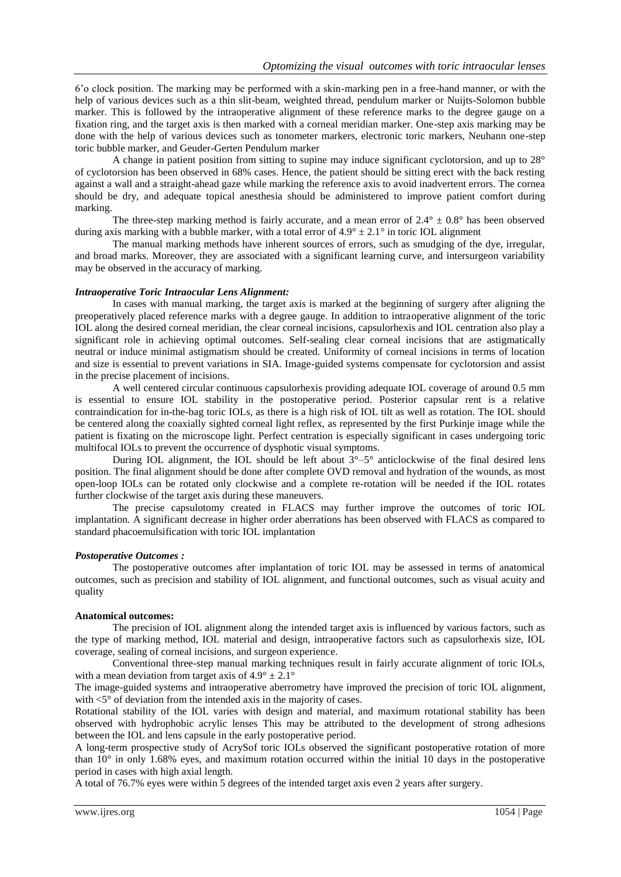6'o clock position. The marking may be performed with a skin-marking pen in a free-hand manner, or with the help of various devices such as a thin slit-beam, weighted thread, pendulum marker or Nuijts-Solomon bubble marker. This is followed by the intraoperative alignment of these reference marks to the degree gauge on a fixation ring, and the target axis is then marked with a corneal meridian marker. One-step axis marking may be done with the help of various devices such as tonometer markers, electronic toric markers, Neuhann one-step toric bubble marker, and Geuder-Gerten Pendulum marker

A change in patient position from sitting to supine may induce significant cyclotorsion, and up to 28° of cyclotorsion has been observed in 68% cases. Hence, the patient should be sitting erect with the back resting against a wall and a straight-ahead gaze while marking the reference axis to avoid inadvertent errors. The cornea should be dry, and adequate topical anesthesia should be administered to improve patient comfort during marking.

The three-step marking method is fairly accurate, and a mean error of  $2.4^{\circ} \pm 0.8^{\circ}$  has been observed during axis marking with a bubble marker, with a total error of  $4.9^{\circ} \pm 2.1^{\circ}$  in toric IOL alignment

The manual marking methods have inherent sources of errors, such as smudging of the dye, irregular, and broad marks. Moreover, they are associated with a significant learning curve, and intersurgeon variability may be observed in the accuracy of marking.

#### *Intraoperative Toric Intraocular Lens Alignment:*

In cases with manual marking, the target axis is marked at the beginning of surgery after aligning the preoperatively placed reference marks with a degree gauge. In addition to intraoperative alignment of the toric IOL along the desired corneal meridian, the clear corneal incisions, capsulorhexis and IOL centration also play a significant role in achieving optimal outcomes. Self-sealing clear corneal incisions that are astigmatically neutral or induce minimal astigmatism should be created. Uniformity of corneal incisions in terms of location and size is essential to prevent variations in SIA. Image-guided systems compensate for cyclotorsion and assist in the precise placement of incisions.

A well centered circular continuous capsulorhexis providing adequate IOL coverage of around 0.5 mm is essential to ensure IOL stability in the postoperative period. Posterior capsular rent is a relative contraindication for in-the-bag toric IOLs, as there is a high risk of IOL tilt as well as rotation. The IOL should be centered along the coaxially sighted corneal light reflex, as represented by the first Purkinje image while the patient is fixating on the microscope light. Perfect centration is especially significant in cases undergoing toric multifocal IOLs to prevent the occurrence of dysphotic visual symptoms.

During IOL alignment, the IOL should be left about 3°–5° anticlockwise of the final desired lens position. The final alignment should be done after complete OVD removal and hydration of the wounds, as most open-loop IOLs can be rotated only clockwise and a complete re-rotation will be needed if the IOL rotates further clockwise of the target axis during these maneuvers.

The precise capsulotomy created in FLACS may further improve the outcomes of toric IOL implantation. A significant decrease in higher order aberrations has been observed with FLACS as compared to standard phacoemulsification with toric IOL implantation

### *Postoperative Outcomes :*

The postoperative outcomes after implantation of toric IOL may be assessed in terms of anatomical outcomes, such as precision and stability of IOL alignment, and functional outcomes, such as visual acuity and quality

#### **Anatomical outcomes:**

The precision of IOL alignment along the intended target axis is influenced by various factors, such as the type of marking method, IOL material and design, intraoperative factors such as capsulorhexis size, IOL coverage, sealing of corneal incisions, and surgeon experience.

Conventional three-step manual marking techniques result in fairly accurate alignment of toric IOLs, with a mean deviation from target axis of  $4.9^{\circ} \pm 2.1^{\circ}$ 

The image-guided systems and intraoperative aberrometry have improved the precision of toric IOL alignment, with  $\lt 5^\circ$  of deviation from the intended axis in the majority of cases.

Rotational stability of the IOL varies with design and material, and maximum rotational stability has been observed with hydrophobic acrylic lenses This may be attributed to the development of strong adhesions between the IOL and lens capsule in the early postoperative period.

A long-term prospective study of AcrySof toric IOLs observed the significant postoperative rotation of more than 10° in only 1.68% eyes, and maximum rotation occurred within the initial 10 days in the postoperative period in cases with high axial length.

A total of 76.7% eyes were within 5 degrees of the intended target axis even 2 years after surgery.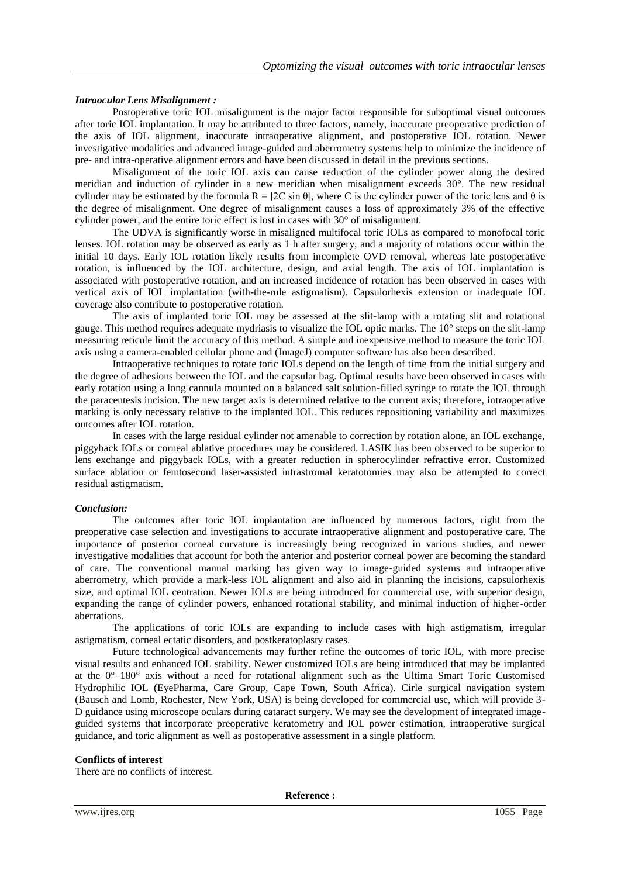# *Intraocular Lens Misalignment :*

Postoperative toric IOL misalignment is the major factor responsible for suboptimal visual outcomes after toric IOL implantation. It may be attributed to three factors, namely, inaccurate preoperative prediction of the axis of IOL alignment, inaccurate intraoperative alignment, and postoperative IOL rotation. Newer investigative modalities and advanced image-guided and aberrometry systems help to minimize the incidence of pre- and intra-operative alignment errors and have been discussed in detail in the previous sections.

Misalignment of the toric IOL axis can cause reduction of the cylinder power along the desired meridian and induction of cylinder in a new meridian when misalignment exceeds 30°. The new residual cylinder may be estimated by the formula  $R = 2C \sin \theta$ , where C is the cylinder power of the toric lens and  $\theta$  is the degree of misalignment. One degree of misalignment causes a loss of approximately 3% of the effective cylinder power, and the entire toric effect is lost in cases with 30° of misalignment.

The UDVA is significantly worse in misaligned multifocal toric IOLs as compared to monofocal toric lenses. IOL rotation may be observed as early as 1 h after surgery, and a majority of rotations occur within the initial 10 days. Early IOL rotation likely results from incomplete OVD removal, whereas late postoperative rotation, is influenced by the IOL architecture, design, and axial length. The axis of IOL implantation is associated with postoperative rotation, and an increased incidence of rotation has been observed in cases with vertical axis of IOL implantation (with-the-rule astigmatism). Capsulorhexis extension or inadequate IOL coverage also contribute to postoperative rotation.

The axis of implanted toric IOL may be assessed at the slit-lamp with a rotating slit and rotational gauge. This method requires adequate mydriasis to visualize the IOL optic marks. The 10° steps on the slit-lamp measuring reticule limit the accuracy of this method. A simple and inexpensive method to measure the toric IOL axis using a camera-enabled cellular phone and (ImageJ) computer software has also been described.

Intraoperative techniques to rotate toric IOLs depend on the length of time from the initial surgery and the degree of adhesions between the IOL and the capsular bag. Optimal results have been observed in cases with early rotation using a long cannula mounted on a balanced salt solution-filled syringe to rotate the IOL through the paracentesis incision. The new target axis is determined relative to the current axis; therefore, intraoperative marking is only necessary relative to the implanted IOL. This reduces repositioning variability and maximizes outcomes after IOL rotation.

In cases with the large residual cylinder not amenable to correction by rotation alone, an IOL exchange, piggyback IOLs or corneal ablative procedures may be considered. LASIK has been observed to be superior to lens exchange and piggyback IOLs, with a greater reduction in spherocylinder refractive error. Customized surface ablation or femtosecond laser-assisted intrastromal keratotomies may also be attempted to correct residual astigmatism.

# *Conclusion:*

The outcomes after toric IOL implantation are influenced by numerous factors, right from the preoperative case selection and investigations to accurate intraoperative alignment and postoperative care. The importance of posterior corneal curvature is increasingly being recognized in various studies, and newer investigative modalities that account for both the anterior and posterior corneal power are becoming the standard of care. The conventional manual marking has given way to image-guided systems and intraoperative aberrometry, which provide a mark-less IOL alignment and also aid in planning the incisions, capsulorhexis size, and optimal IOL centration. Newer IOLs are being introduced for commercial use, with superior design, expanding the range of cylinder powers, enhanced rotational stability, and minimal induction of higher-order aberrations.

The applications of toric IOLs are expanding to include cases with high astigmatism, irregular astigmatism, corneal ectatic disorders, and postkeratoplasty cases.

Future technological advancements may further refine the outcomes of toric IOL, with more precise visual results and enhanced IOL stability. Newer customized IOLs are being introduced that may be implanted at the 0°–180° axis without a need for rotational alignment such as the Ultima Smart Toric Customised Hydrophilic IOL (EyePharma, Care Group, Cape Town, South Africa). Cirle surgical navigation system (Bausch and Lomb, Rochester, New York, USA) is being developed for commercial use, which will provide 3- D guidance using microscope oculars during cataract surgery. We may see the development of integrated imageguided systems that incorporate preoperative keratometry and IOL power estimation, intraoperative surgical guidance, and toric alignment as well as postoperative assessment in a single platform.

# **Conflicts of interest**

There are no conflicts of interest.

**Reference :**